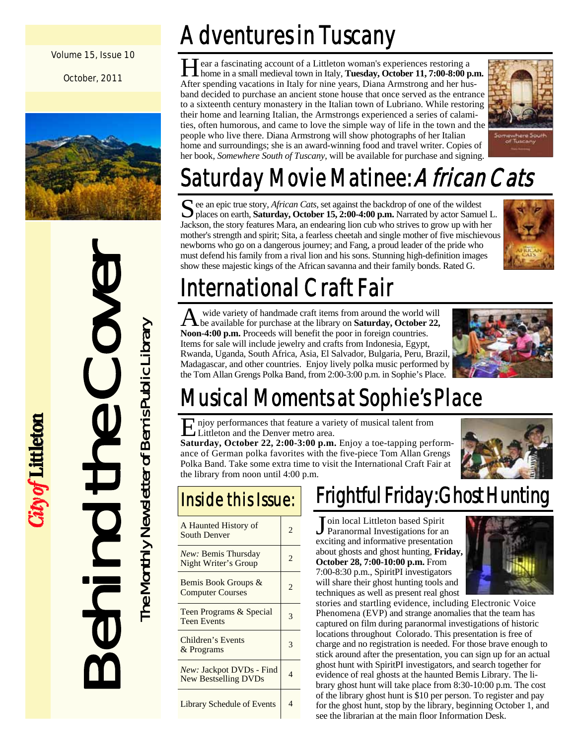#### Volume 15, Issue 10

October, 2011



# Behind the Cover The Monthly Newsletter of Bemis Public Library

City of Littleton

The Monthly Newsletter of Bemis Public Library

# Adventures in Tuscany

ear a fascinating account of a Littleton woman's experiences restoring a home in a small medieval town in Italy, **Tuesday, October 11, 7:00-8:00 p.m.**  After spending vacations in Italy for nine years, Diana Armstrong and her husband decided to purchase an ancient stone house that once served as the entrance to a sixteenth century monastery in the Italian town of Lubriano. While restoring their home and learning Italian, the Armstrongs experienced a series of calamities, often humorous, and came to love the simple way of life in the town and the people who live there. Diana Armstrong will show photographs of her Italian home and surroundings; she is an award-winning food and travel writer. Copies of her book, *Somewhere South of Tuscany*, will be available for purchase and signing.



# Saturday Movie Matinee: *African Cats*

S ee an epic true story, *African Cats*, set against the backdrop of one of the wildest places on earth, **Saturday, October 15, 2:00-4:00 p.m.** Narrated by actor Samuel L. Jackson, the story features Mara, an endearing lion cub who strives to grow up with her mother's strength and spirit; Sita, a fearless cheetah and single mother of five mischievous newborns who go on a dangerous journey; and Fang, a proud leader of the pride who must defend his family from a rival lion and his sons. Stunning high-definition images show these majestic kings of the African savanna and their family bonds. Rated G.



# International Craft Fair

A wide variety of handmade craft items from around the world will be available for purchase at the library on **Saturday, October 22, Noon-4:00 p.m.** Proceeds will benefit the poor in foreign countries. Items for sale will include jewelry and crafts from Indonesia, Egypt, Rwanda, Uganda, South Africa, Asia, El Salvador, Bulgaria, Peru, Brazil, Madagascar, and other countries. Enjoy lively polka music performed by the Tom Allan Grengs Polka Band, from 2:00-3:00 p.m. in Sophie's Place.



# Musical Moments at Sophie's Place

E njoy performances that feature a variety of musical talent from Littleton and the Denver metro area.

**Saturday, October 22, 2:00-3:00 p.m.** Enjoy a toe-tapping performance of German polka favorites with the five-piece Tom Allan Grengs Polka Band. Take some extra time to visit the International Craft Fair at the library from noon until 4:00 p.m.



| A Haunted History of<br><b>South Denver</b>             | $\mathfrak{D}$ |
|---------------------------------------------------------|----------------|
| <i>New:</i> Bemis Thursday<br>Night Writer's Group      | 2              |
| Bemis Book Groups &<br><b>Computer Courses</b>          | $\mathfrak{D}$ |
| Teen Programs & Special<br><b>Teen Events</b>           | 3              |
| Children's Events<br>& Programs                         | 3              |
| New: Jackpot DVDs - Find<br><b>New Bestselling DVDs</b> |                |
| <b>Library Schedule of Events</b>                       | 4              |

## Frightful Friday: Ghost Hunting

J oin local Littleton based Spirit Paranormal Investigations for an exciting and informative presentation about ghosts and ghost hunting, **Friday, October 28, 7:00-10:00 p.m.** From 7:00-8:30 p.m., SpiritPI investigators will share their ghost hunting tools and techniques as well as present real ghost



stories and startling evidence, including Electronic Voice Phenomena (EVP) and strange anomalies that the team has captured on film during paranormal investigations of historic locations throughout Colorado. This presentation is free of charge and no registration is needed. For those brave enough to stick around after the presentation, you can sign up for an actual ghost hunt with SpiritPI investigators, and search together for evidence of real ghosts at the haunted Bemis Library. The library ghost hunt will take place from 8:30-10:00 p.m. The cost of the library ghost hunt is \$10 per person. To register and pay for the ghost hunt, stop by the library, beginning October 1, and see the librarian at the main floor Information Desk.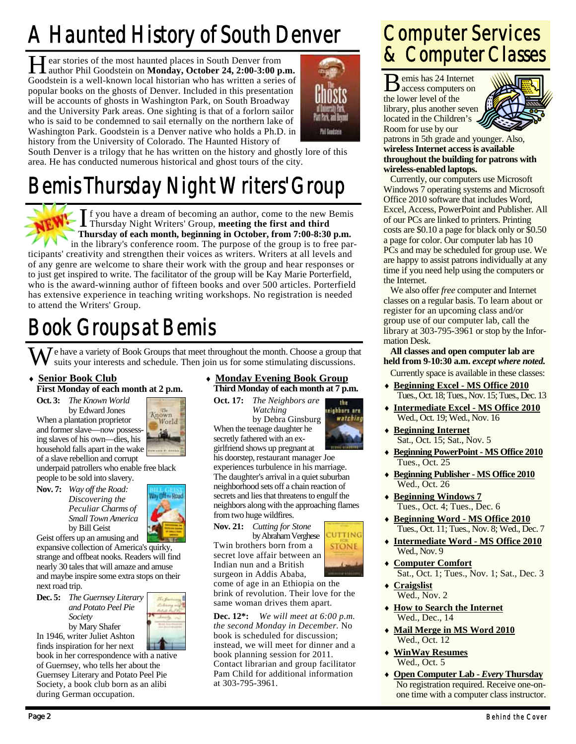# A Haunted History of South Denver

H ear stories of the most haunted places in South Denver from<br>author Phil Goodstein on **Monday, October 24, 2:00-3:00 p.m.** Goodstein is a well-known local historian who has written a series of popular books on the ghosts of Denver. Included in this presentation will be accounts of ghosts in Washington Park, on South Broadway and the University Park areas. One sighting is that of a forlorn sailor who is said to be condemned to sail eternally on the northern lake of Washington Park. Goodstein is a Denver native who holds a Ph.D. in history from the University of Colorado. The Haunted History of



South Denver is a trilogy that he has written on the history and ghostly lore of this area. He has conducted numerous historical and ghost tours of the city.

# Bemis Thursday Night Writers' Group



I f you have a dream of becoming an author, come to the new Bemis Thursday Night Writers' Group, **meeting the first and third Thursday of each month, beginning in October, from 7:00-8:30 p.m.** 

in the library's conference room. The purpose of the group is to free participants' creativity and strengthen their voices as writers. Writers at all levels and of any genre are welcome to share their work with the group and hear responses or to just get inspired to write. The facilitator of the group will be Kay Marie Porterfield, who is the award-winning author of fifteen books and over 500 articles. Porterfield has extensive experience in teaching writing workshops. No registration is needed to attend the Writers' Group.

# Book Groups at Bemis

We have a variety of Book Groups that meet throughout the month. Choose a group that suits your interests and schedule. Then join us for some stimulating discussions.

#### **Senior Book Club First Monday of each month at 2 p.m.**

**Oct. 3:** *The Known World* 

 by Edward Jones When a plantation proprietor and former slave—now possessing slaves of his own—dies, his household falls apart in the wake of a slave rebellion and corrupt



underpaid patrollers who enable free black people to be sold into slavery.

**Nov. 7:** *Way off the Road: Discovering the Peculiar Charms of Small Town America*  by **Bill Geist** 



Geist offers up an amusing and expansive collection of America's quirky,

strange and offbeat nooks. Readers will find nearly 30 tales that will amaze and amuse and maybe inspire some extra stops on their next road trip.

**Dec. 5:** *The Guernsey Literary and Potato Peel Pie Society*  by Mary Shafer

In 1946, writer Juliet Ashton finds inspiration for her next book in her correspondence with a native

of Guernsey, who tells her about the Guernsey Literary and Potato Peel Pie Society, a book club born as an alibi during German occupation.

#### **Monday Evening Book Group Third Monday of each month at 7 p.m.**

the teishbors are

CUTTING

watching

**Oct. 17:** *The Neighbors are Watching*  by Debra Ginsburg When the teenage daughter he

secretly fathered with an exgirlfriend shows up pregnant at his doorstep, restaurant manager Joe experiences turbulence in his marriage. The daughter's arrival in a quiet suburban neighborhood sets off a chain reaction of secrets and lies that threatens to engulf the neighbors along with the approaching flames from two huge wildfires.



Twin brothers born from a **STONE** secret love affair between an Indian nun and a British surgeon in Addis Ababa, come of age in an Ethiopia on the brink of revolution. Their love for the



Pam Child for additional information

at 303-795-3961.

#### Computer Services & Computer Classes

B emis has 24 Internet access computers on the lower level of the library, plus another seven located in the Children's Room for use by our



patrons in 5th grade and younger. Also, **wireless Internet access is available throughout the building for patrons with wireless-enabled laptops.**

 Currently, our computers use Microsoft Windows 7 operating systems and Microsoft Office 2010 software that includes Word, Excel, Access, PowerPoint and Publisher. All of our PCs are linked to printers. Printing costs are \$0.10 a page for black only or \$0.50 a page for color. Our computer lab has 10 PCs and may be scheduled for group use. We are happy to assist patrons individually at any time if you need help using the computers or the Internet.

 We also offer *free* computer and Internet classes on a regular basis. To learn about or register for an upcoming class and/or group use of our computer lab, call the library at 303-795-3961 or stop by the Information Desk.

**All classes and open computer lab are held from 9-10:30 a.m.** *except where noted.* 

Currently space is available in these classes:

- **Beginning Excel MS Office 2010** Tues., Oct. 18; Tues., Nov. 15; Tues., Dec. 13
- **Intermediate Excel MS Office 2010** Wed., Oct. 19; Wed., Nov. 16
- **Beginning Internet** Sat., Oct. 15; Sat., Nov. 5
- **Beginning PowerPoint MS Office 2010** Tues., Oct. 25
- **Beginning Publisher MS Office 2010** Wed., Oct. 26
- **Beginning Windows 7** Tues., Oct. 4; Tues., Dec. 6
- **Beginning Word MS Office 2010** Tues., Oct. 11; Tues., Nov. 8; Wed., Dec. 7
- **Intermediate Word MS Office 2010** Wed., Nov. 9
- **Computer Comfort** Sat., Oct. 1; Tues., Nov. 1; Sat., Dec. 3
	- **Craigslist** Wed., Nov. 2
- **How to Search the Internet** Wed., Dec., 14
- **Mail Merge in MS Word 2010** Wed., Oct. 12
- **WinWay Resumes** Wed., Oct. 5
- **Open Computer Lab** *Every* **Thursday** No registration required. Receive one-onone time with a computer class instructor.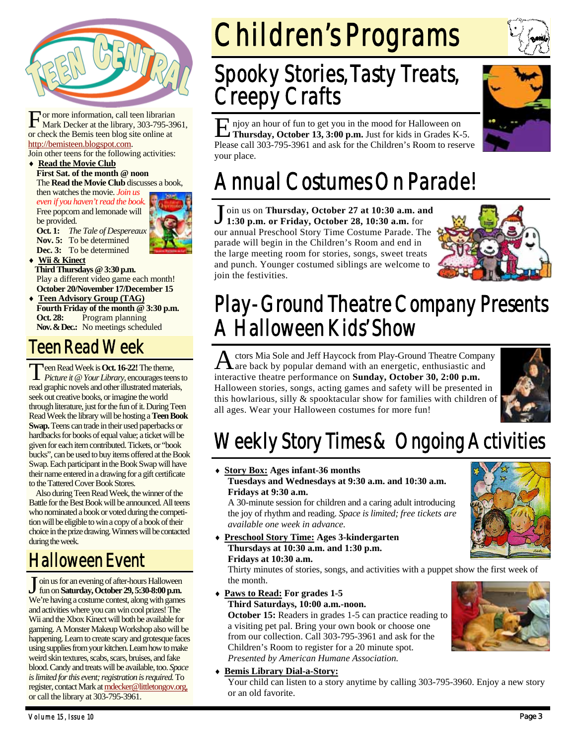

For more information, call teen librarian<br>Mark Decker at the library, 303-795-3961, or check the Bemis teen blog site online at http://bemisteen.blogspot.com.

Join other teens for the following activities: **Read the Movie Club**

**First Sat. of the month @ noon**  The **Read the Movie Club** discusses a book,

then watches the movie. *Join us even if you haven't read the book.* Free popcorn and lemonade will be provided.

**Oct. 1:** *The Tale of Despereaux*  **Nov. 5:** To be determined **Dec. 3:** To be determined



 **Wii & Kinect Third Thursdays @ 3:30 p.m.**  Play a different video game each month! **October 20/November 17/December 15** 

 **Teen Advisory Group (TAG) Fourth Friday of the month @ 3:30 p.m. Oct. 28:** Program planning **Nov. & Dec.:** No meetings scheduled

#### Teen Read Week

T een Read Week is **Oct. 16-22!** The theme, *Picture it* @ *Your Library*, encourages teens to read graphic novels and other illustrated materials, seek out creative books, or imagine the world through literature, just for the fun of it. During Teen Read Week the library will be hosting a **Teen Book Swap.** Teens can trade in their used paperbacks or hardbacks for books of equal value; a ticket will be given for each item contributed. Tickets, or "book bucks", can be used to buy items offered at the Book Swap. Each participant in the Book Swap will have their name entered in a drawing for a gift certificate to the Tattered Cover Book Stores.

 Also during Teen Read Week, the winner of the Battle for the Best Book will be announced.All teens who nominated a book or voted during the competition will be eligible to win a copy of a book of their choice in the prize drawing. Winners will be contacted during the week.

#### Halloween Event

J oin us for an evening of after-hours Halloween fun on **Saturday, October 29, 5:30-8:00 p.m.**  We're having a costume contest, along with games and activities where you can win cool prizes! The Wii and the Xbox Kinect will both be available for gaming. A Monster Makeup Workshop also will be happening. Learn to create scary and grotesque faces using supplies from your kitchen. Learn how to make weird skin textures, scabs, scars, bruises, and fake blood. Candy and treats will be available, too. *Space is limited for this event; registration is required.* To register, contact Mark at mdecker@littletongov.org, or call the library at 303-795-3961.

# Children's Programs

## Spooky Stories, Tasty Treats, Creepy Crafts

I njoy an hour of fun to get you in the mood for Halloween on **Thursday, October 13, 3:00 p.m.** Just for kids in Grades K-5. Please call 303-795-3961 and ask for the Children's Room to reserve your place.

## Annual Costumes On Parade!

J oin us on **Thursday, October 27 at 10:30 a.m. and 1:30 p.m. or Friday, October 28, 10:30 a.m.** for our annual Preschool Story Time Costume Parade. The parade will begin in the Children's Room and end in the large meeting room for stories, songs, sweet treats and punch. Younger costumed siblings are welcome to join the festivities.



### Play-Ground Theatre Company Presents A Halloween Kids' Show

ctors Mia Sole and Jeff Haycock from Play-Ground Theatre Company are back by popular demand with an energetic, enthusiastic and interactive theatre performance on **Sunday, October 30, 2:00 p.m.** Halloween stories, songs, acting games and safety will be presented in this howlarious, silly & spooktacular show for families with children of all ages. Wear your Halloween costumes for more fun!



## Weekly Story Times & Ongoing Activities

 **Story Box: Ages infant-36 months Tuesdays and Wednesdays at 9:30 a.m. and 10:30 a.m. Fridays at 9:30 a.m.** 

A 30-minute session for children and a caring adult introducing the joy of rhythm and reading. *Space is limited; free tickets are available one week in advance.* 

 **Preschool Story Time: Ages 3-kindergarten Thursdays at 10:30 a.m. and 1:30 p.m. Fridays at 10:30 a.m.** 

Thirty minutes of stories, songs, and activities with a puppet show the first week of the month.

 **Paws to Read: For grades 1-5 Third Saturdays, 10:00 a.m.-noon.** 

**October 15:** Readers in grades 1-5 can practice reading to a visiting pet pal. Bring your own book or choose one from our collection. Call 303-795-3961 and ask for the Children's Room to register for a 20 minute spot. *Presented by American Humane Association.* 

**Bemis Library Dial-a-Story:**



Your child can listen to a story anytime by calling 303-795-3960. Enjoy a new story or an old favorite.